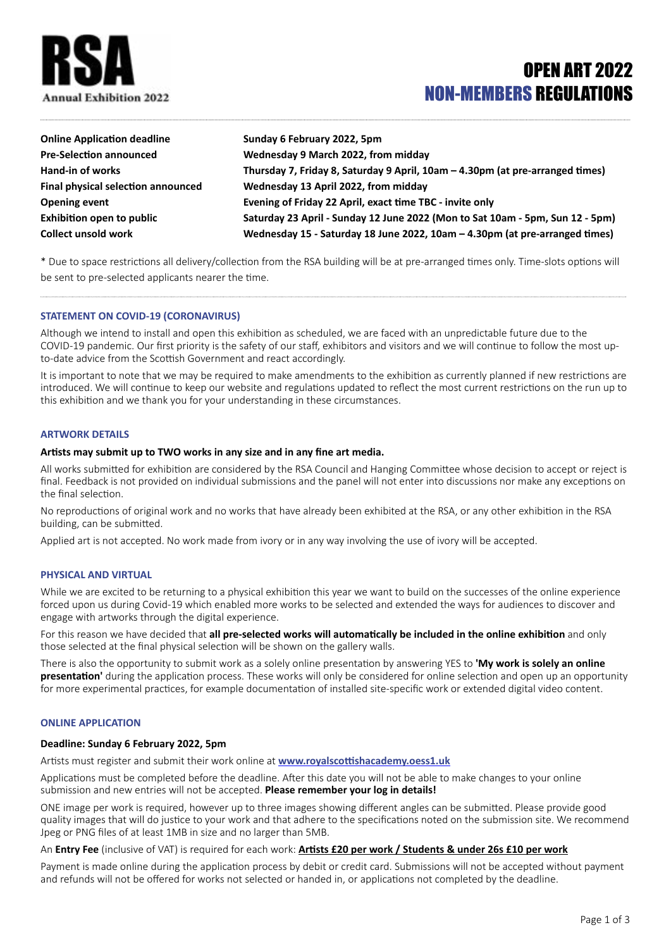

# OPEN ART 2022 NON-MEMBERS REGULATIONS

| <b>Online Application deadline</b> | Sunday 6 February 2022, 5pm                                                   |
|------------------------------------|-------------------------------------------------------------------------------|
| <b>Pre-Selection announced</b>     | Wednesday 9 March 2022, from midday                                           |
| Hand-in of works                   | Thursday 7, Friday 8, Saturday 9 April, 10am - 4.30pm (at pre-arranged times) |
| Final physical selection announced | Wednesday 13 April 2022, from midday                                          |
| <b>Opening event</b>               | Evening of Friday 22 April, exact time TBC - invite only                      |
| <b>Exhibition open to public</b>   | Saturday 23 April - Sunday 12 June 2022 (Mon to Sat 10am - 5pm, Sun 12 - 5pm) |
| <b>Collect unsold work</b>         | Wednesday 15 - Saturday 18 June 2022, 10am - 4.30pm (at pre-arranged times)   |

\* Due to space restrictions all delivery/collection from the RSA building will be at pre-arranged times only. Time-slots options will be sent to pre-selected applicants nearer the time.

# **STATEMENT ON COVID-19 (CORONAVIRUS)**

Although we intend to install and open this exhibition as scheduled, we are faced with an unpredictable future due to the COVID-19 pandemic. Our first priority is the safety of our staff, exhibitors and visitors and we will continue to follow the most upto-date advice from the Scottish Government and react accordingly.

It is important to note that we may be required to make amendments to the exhibition as currently planned if new restrictions are introduced. We will continue to keep our website and regulations updated to reflect the most current restrictions on the run up to this exhibition and we thank you for your understanding in these circumstances.

#### **ARTWORK DETAILS**

## **Artists may submit up to TWO works in any size and in any fine art media.**

All works submitted for exhibition are considered by the RSA Council and Hanging Committee whose decision to accept or reject is final. Feedback is not provided on individual submissions and the panel will not enter into discussions nor make any exceptions on the final selection.

No reproductions of original work and no works that have already been exhibited at the RSA, or any other exhibition in the RSA building, can be submitted.

Applied art is not accepted. No work made from ivory or in any way involving the use of ivory will be accepted.

#### **PHYSICAL AND VIRTUAL**

While we are excited to be returning to a physical exhibition this year we want to build on the successes of the online experience forced upon us during Covid-19 which enabled more works to be selected and extended the ways for audiences to discover and engage with artworks through the digital experience.

For this reason we have decided that **all pre-selected works will automatically be included in the online exhibition** and only those selected at the final physical selection will be shown on the gallery walls.

There is also the opportunity to submit work as a solely online presentation by answering YES to **'My work is solely an online presentation'** during the application process. These works will only be considered for online selection and open up an opportunity for more experimental practices, for example documentation of installed site-specific work or extended digital video content.

### **ONLINE APPLICATION**

# **Deadline: Sunday 6 February 2022, 5pm**

Artists must register and submit their work online at **[www.royalscottishacademy.oess1.uk](http://www.royalscottishacademy.oess1.uk)**

Applications must be completed before the deadline. After this date you will not be able to make changes to your online submission and new entries will not be accepted. **Please remember your log in details!** 

ONE image per work is required, however up to three images showing different angles can be submitted. Please provide good quality images that will do justice to your work and that adhere to the specifications noted on the submission site. We recommend Jpeg or PNG files of at least 1MB in size and no larger than 5MB.

An **Entry Fee** (inclusive of VAT) is required for each work: **Artists £20 per work / Students & under 26s £10 per work**

Payment is made online during the application process by debit or credit card. Submissions will not be accepted without payment and refunds will not be offered for works not selected or handed in, or applications not completed by the deadline.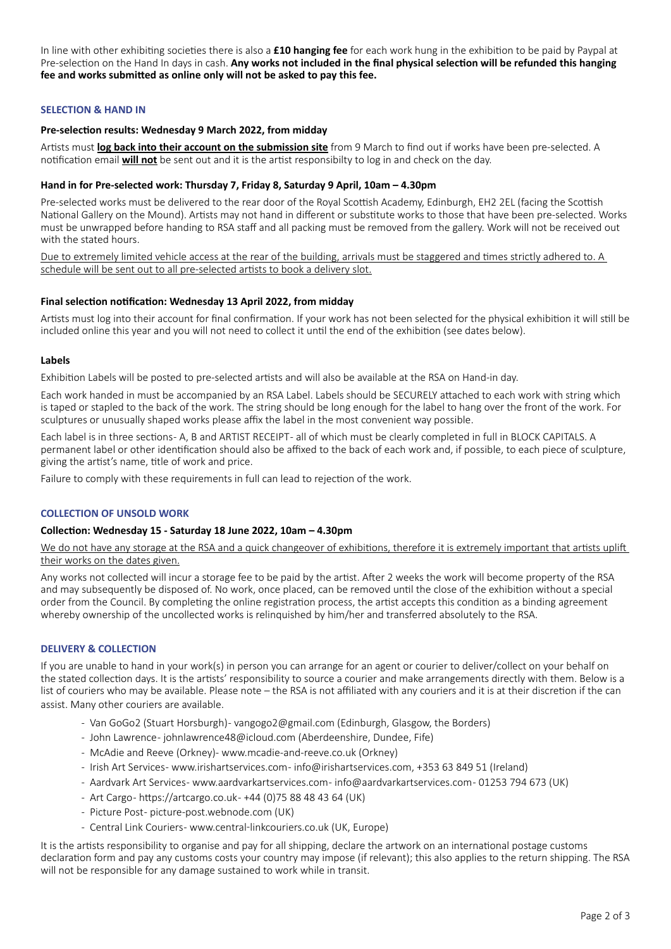In line with other exhibiting societies there is also a **£10 hanging fee** for each work hung in the exhibition to be paid by Paypal at Pre-selection on the Hand In days in cash. **Any works not included in the final physical selection will be refunded this hanging fee and works submitted as online only will not be asked to pay this fee.**

# **SELECTION & HAND IN**

## **Pre-selection results: Wednesday 9 March 2022, from midday**

Artists must **log back into their account on the submission site** from 9 March to find out if works have been pre-selected. A notification email **will not** be sent out and it is the artist responsibilty to log in and check on the day.

## **Hand in for Pre-selected work: Thursday 7, Friday 8, Saturday 9 April, 10am – 4.30pm**

Pre-selected works must be delivered to the rear door of the Royal Scottish Academy, Edinburgh, EH2 2EL (facing the Scottish National Gallery on the Mound). Artists may not hand in different or substitute works to those that have been pre-selected. Works must be unwrapped before handing to RSA staff and all packing must be removed from the gallery. Work will not be received out with the stated hours.

Due to extremely limited vehicle access at the rear of the building, arrivals must be staggered and times strictly adhered to. A schedule will be sent out to all pre-selected artists to book a delivery slot.

## **Final selection notification: Wednesday 13 April 2022, from midday**

Artists must log into their account for final confirmation. If your work has not been selected for the physical exhibition it will still be included online this year and you will not need to collect it until the end of the exhibition (see dates below).

#### **Labels**

Exhibition Labels will be posted to pre-selected artists and will also be available at the RSA on Hand-in day.

Each work handed in must be accompanied by an RSA Label. Labels should be SECURELY attached to each work with string which is taped or stapled to the back of the work. The string should be long enough for the label to hang over the front of the work. For sculptures or unusually shaped works please affix the label in the most convenient way possible.

Each label is in three sections - A, B and ARTIST RECEIPT - all of which must be clearly completed in full in BLOCK CAPITALS. A permanent label or other identification should also be affixed to the back of each work and, if possible, to each piece of sculpture, giving the artist's name, title of work and price.

Failure to comply with these requirements in full can lead to rejection of the work.

## **COLLECTION OF UNSOLD WORK**

# **Collection: Wednesday 15 - Saturday 18 June 2022, 10am – 4.30pm**

We do not have any storage at the RSA and a quick changeover of exhibitions, therefore it is extremely important that artists uplift their works on the dates given.

Any works not collected will incur a storage fee to be paid by the artist. After 2 weeks the work will become property of the RSA and may subsequently be disposed of. No work, once placed, can be removed until the close of the exhibition without a special order from the Council. By completing the online registration process, the artist accepts this condition as a binding agreement whereby ownership of the uncollected works is relinquished by him/her and transferred absolutely to the RSA.

# **DELIVERY & COLLECTION**

If you are unable to hand in your work(s) in person you can arrange for an agent or courier to deliver/collect on your behalf on the stated collection days. It is the artists' responsibility to source a courier and make arrangements directly with them. Below is a list of couriers who may be available. Please note – the RSA is not affiliated with any couriers and it is at their discretion if the can assist. Many other couriers are available.

- Van GoGo2 (Stuart Horsburgh) vangogo2@gmail.com (Edinburgh, Glasgow, the Borders)
- John Lawrence johnlawrence48@icloud.com (Aberdeenshire, Dundee, Fife)
- McAdie and Reeve (Orkney)- www.mcadie-and-reeve.co.uk (Orkney)
- Irish Art Services- www.irishartservices.com- info@irishartservices.com, +353 63 849 51 (Ireland)
- Aardvark Art Services- www.aardvarkartservices.com- info@aardvarkartservices.com- 01253 794 673 (UK)
- Art Cargo https://artcargo.co.uk +44 (0) 75 88 48 43 64 (UK)
- Picture Post- picture-post.webnode.com (UK)
- Central Link Couriers- www.central-linkcouriers.co.uk (UK, Europe)

It is the artists responsibility to organise and pay for all shipping, declare the artwork on an international postage customs declaration form and pay any customs costs your country may impose (if relevant); this also applies to the return shipping. The RSA will not be responsible for any damage sustained to work while in transit.